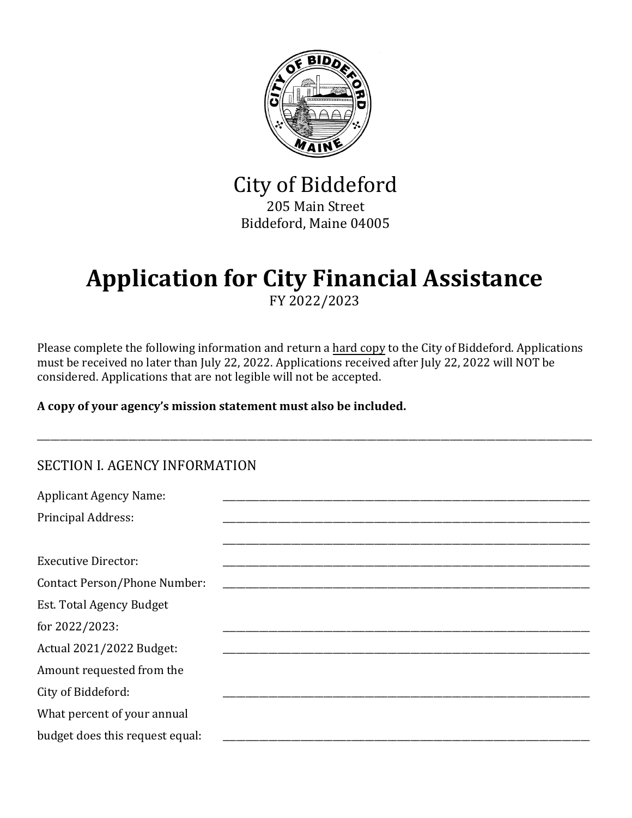

City of Biddeford 205 Main Street Biddeford, Maine 04005

# **Application for City Financial Assistance**

FY 2022/2023

Please complete the following information and return a hard copy to the City of Biddeford. Applications must be received no later than July 22, 2022. Applications received after July 22, 2022 will NOT be considered. Applications that are not legible will not be accepted.

\_\_\_\_\_\_\_\_\_\_\_\_\_\_\_\_\_\_\_\_\_\_\_\_\_\_\_\_\_\_\_\_\_\_\_\_\_\_\_\_\_\_\_\_\_\_\_\_\_\_\_\_\_\_\_\_\_\_\_\_\_\_\_\_\_\_\_\_\_\_\_\_\_\_\_\_\_\_\_\_\_\_\_\_\_\_\_\_\_\_\_\_\_\_\_\_\_\_\_\_\_\_\_\_\_\_\_\_\_\_\_\_\_\_\_\_\_\_\_\_\_

**A copy of your agency's mission statement must also be included.**

| <b>Applicant Agency Name:</b>       |  |
|-------------------------------------|--|
| <b>Principal Address:</b>           |  |
|                                     |  |
| <b>Executive Director:</b>          |  |
| <b>Contact Person/Phone Number:</b> |  |
| Est. Total Agency Budget            |  |
| for 2022/2023:                      |  |
| Actual 2021/2022 Budget:            |  |
| Amount requested from the           |  |
| City of Biddeford:                  |  |
| What percent of your annual         |  |
| budget does this request equal:     |  |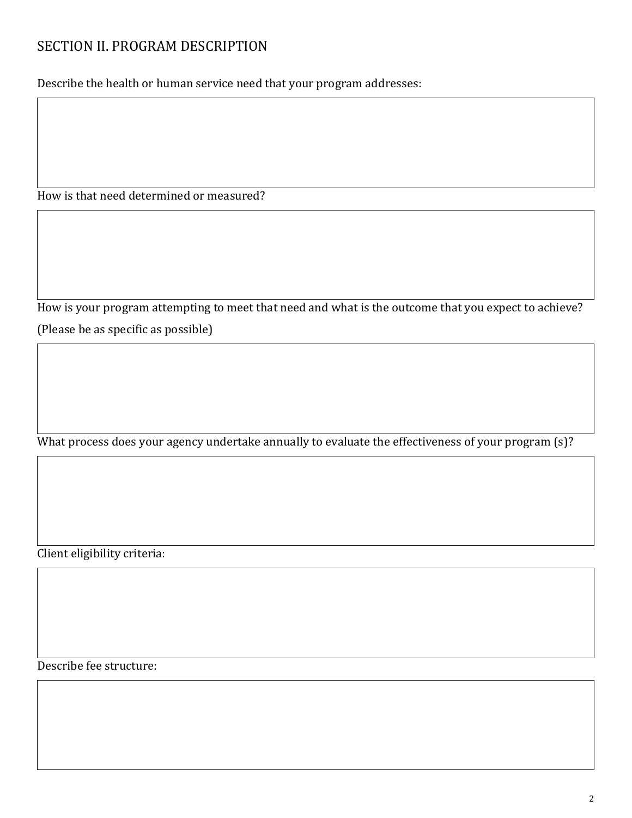## SECTION II. PROGRAM DESCRIPTION

Describe the health or human service need that your program addresses:

How is that need determined or measured?

How is your program attempting to meet that need and what is the outcome that you expect to achieve? (Please be as specific as possible)

What process does your agency undertake annually to evaluate the effectiveness of your program (s)?

Client eligibility criteria:

Describe fee structure: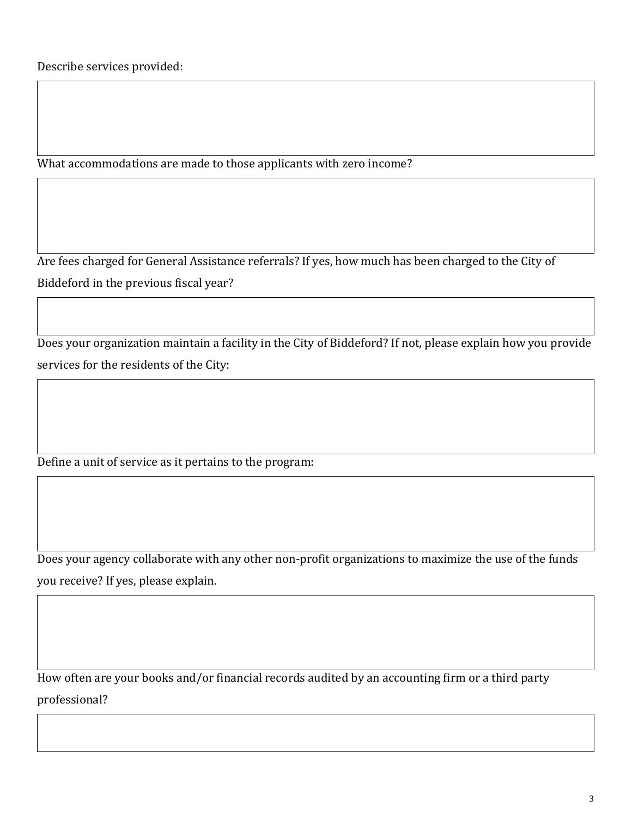What accommodations are made to those applicants with zero income?

Are fees charged for General Assistance referrals? If yes, how much has been charged to the City of Biddeford in the previous fiscal year?

Does your organization maintain a facility in the City of Biddeford? If not, please explain how you provide services for the residents of the City:

Define a unit of service as it pertains to the program:

Does your agency collaborate with any other non-profit organizations to maximize the use of the funds you receive? If yes, please explain.

How often are your books and/or financial records audited by an accounting firm or a third party professional?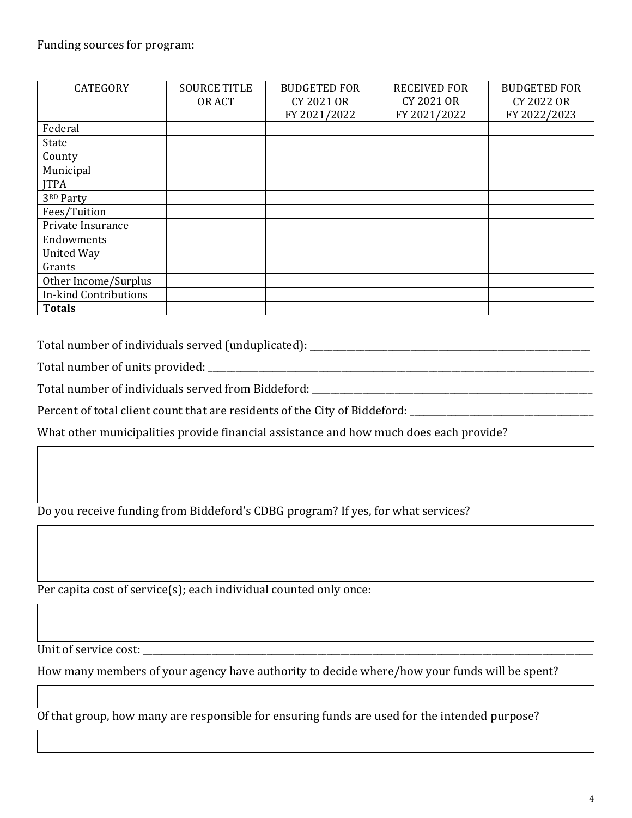| <b>CATEGORY</b>              | <b>SOURCE TITLE</b> | <b>BUDGETED FOR</b> | <b>RECEIVED FOR</b> | <b>BUDGETED FOR</b> |
|------------------------------|---------------------|---------------------|---------------------|---------------------|
|                              | OR ACT              | <b>CY 2021 OR</b>   | CY 2021 OR          | CY 2022 OR          |
|                              |                     | FY 2021/2022        | FY 2021/2022        | FY 2022/2023        |
| Federal                      |                     |                     |                     |                     |
| State                        |                     |                     |                     |                     |
| County                       |                     |                     |                     |                     |
| Municipal                    |                     |                     |                     |                     |
| <b>ITPA</b>                  |                     |                     |                     |                     |
| 3RD Party                    |                     |                     |                     |                     |
| Fees/Tuition                 |                     |                     |                     |                     |
| Private Insurance            |                     |                     |                     |                     |
| Endowments                   |                     |                     |                     |                     |
| <b>United Way</b>            |                     |                     |                     |                     |
| Grants                       |                     |                     |                     |                     |
| Other Income/Surplus         |                     |                     |                     |                     |
| <b>In-kind Contributions</b> |                     |                     |                     |                     |
| <b>Totals</b>                |                     |                     |                     |                     |

Total number of individuals served (unduplicated): \_\_\_\_\_\_\_\_\_\_\_\_\_\_\_\_\_\_\_\_\_\_\_\_\_\_\_\_\_

Total number of units provided: \_\_\_\_\_\_\_\_\_\_\_\_\_\_\_\_\_\_\_\_\_\_\_\_\_\_\_\_\_\_\_\_\_\_\_\_\_\_\_\_\_\_\_\_\_\_\_\_\_\_\_\_\_\_\_\_\_\_\_\_\_\_\_\_\_\_\_\_\_\_\_\_\_\_\_\_\_\_\_\_\_\_\_\_

Total number of individuals served from Biddeford: \_\_\_\_\_\_\_\_\_\_\_\_\_\_\_\_\_\_\_\_\_\_\_\_\_\_\_\_\_

Percent of total client count that are residents of the City of Biddeford: \_\_\_\_\_\_\_

What other municipalities provide financial assistance and how much does each provide?

Do you receive funding from Biddeford's CDBG program? If yes, for what services?

Per capita cost of service(s); each individual counted only once:

Unit of service cost: \_\_\_\_\_\_\_\_\_\_\_\_\_\_\_\_\_\_\_\_\_\_\_\_\_\_\_\_\_\_\_\_\_\_\_\_\_\_\_\_\_\_\_\_\_\_\_\_\_\_\_\_\_\_\_\_\_\_\_\_\_\_\_\_\_\_\_\_\_\_\_\_\_\_\_\_\_\_\_\_\_\_\_\_\_\_\_\_\_\_\_\_\_\_\_\_\_\_

How many members of your agency have authority to decide where/how your funds will be spent?

Of that group, how many are responsible for ensuring funds are used for the intended purpose?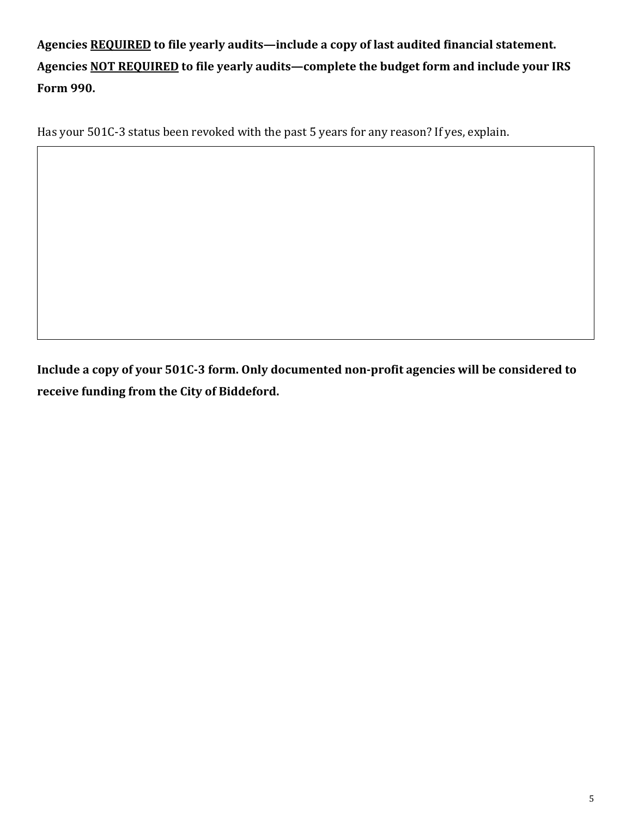**Agencies REQUIRED to file yearly audits—include a copy of last audited financial statement. Agencies NOT REQUIRED to file yearly audits—complete the budget form and include your IRS Form 990.**

Has your 501C-3 status been revoked with the past 5 years for any reason? If yes, explain.

**Include a copy of your 501C-3 form. Only documented non-profit agencies will be considered to receive funding from the City of Biddeford.**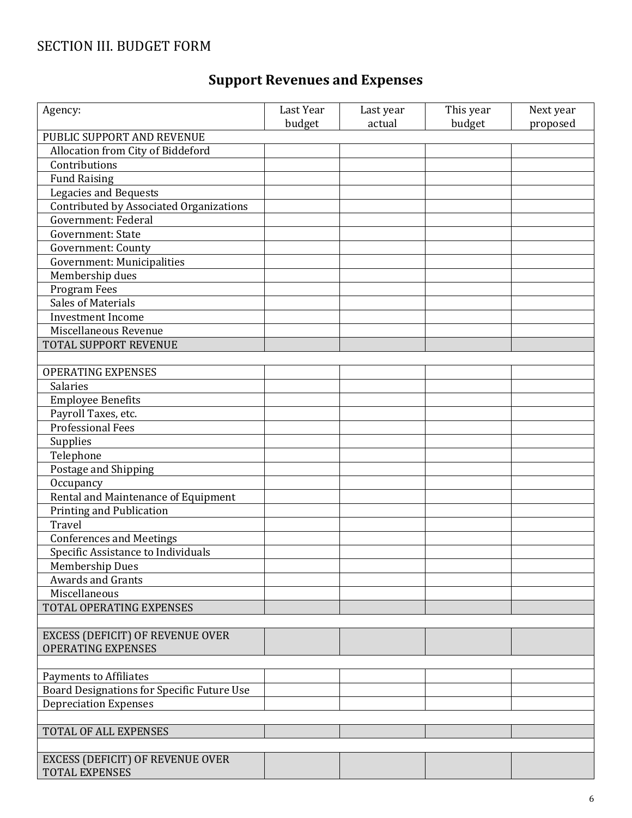## SECTION III. BUDGET FORM

# **Support Revenues and Expenses**

| Agency:                                    | Last Year<br>budget | Last year<br>actual | This year<br>budget | Next year<br>proposed |
|--------------------------------------------|---------------------|---------------------|---------------------|-----------------------|
| PUBLIC SUPPORT AND REVENUE                 |                     |                     |                     |                       |
| Allocation from City of Biddeford          |                     |                     |                     |                       |
| Contributions                              |                     |                     |                     |                       |
| <b>Fund Raising</b>                        |                     |                     |                     |                       |
| Legacies and Bequests                      |                     |                     |                     |                       |
| Contributed by Associated Organizations    |                     |                     |                     |                       |
| Government: Federal                        |                     |                     |                     |                       |
| Government: State                          |                     |                     |                     |                       |
| Government: County                         |                     |                     |                     |                       |
| <b>Government: Municipalities</b>          |                     |                     |                     |                       |
| Membership dues                            |                     |                     |                     |                       |
| Program Fees                               |                     |                     |                     |                       |
| <b>Sales of Materials</b>                  |                     |                     |                     |                       |
| <b>Investment Income</b>                   |                     |                     |                     |                       |
| Miscellaneous Revenue                      |                     |                     |                     |                       |
| TOTAL SUPPORT REVENUE                      |                     |                     |                     |                       |
|                                            |                     |                     |                     |                       |
| <b>OPERATING EXPENSES</b>                  |                     |                     |                     |                       |
| Salaries                                   |                     |                     |                     |                       |
| <b>Employee Benefits</b>                   |                     |                     |                     |                       |
| Payroll Taxes, etc.                        |                     |                     |                     |                       |
| <b>Professional Fees</b>                   |                     |                     |                     |                       |
| Supplies                                   |                     |                     |                     |                       |
| Telephone                                  |                     |                     |                     |                       |
| Postage and Shipping                       |                     |                     |                     |                       |
| Occupancy                                  |                     |                     |                     |                       |
| Rental and Maintenance of Equipment        |                     |                     |                     |                       |
| Printing and Publication                   |                     |                     |                     |                       |
| Travel                                     |                     |                     |                     |                       |
| <b>Conferences and Meetings</b>            |                     |                     |                     |                       |
| Specific Assistance to Individuals         |                     |                     |                     |                       |
| Membership Dues                            |                     |                     |                     |                       |
| <b>Awards and Grants</b>                   |                     |                     |                     |                       |
| Miscellaneous                              |                     |                     |                     |                       |
| <b>TOTAL OPERATING EXPENSES</b>            |                     |                     |                     |                       |
|                                            |                     |                     |                     |                       |
| EXCESS (DEFICIT) OF REVENUE OVER           |                     |                     |                     |                       |
| <b>OPERATING EXPENSES</b>                  |                     |                     |                     |                       |
|                                            |                     |                     |                     |                       |
| <b>Payments to Affiliates</b>              |                     |                     |                     |                       |
| Board Designations for Specific Future Use |                     |                     |                     |                       |
| <b>Depreciation Expenses</b>               |                     |                     |                     |                       |
|                                            |                     |                     |                     |                       |
| TOTAL OF ALL EXPENSES                      |                     |                     |                     |                       |
|                                            |                     |                     |                     |                       |
| EXCESS (DEFICIT) OF REVENUE OVER           |                     |                     |                     |                       |
| <b>TOTAL EXPENSES</b>                      |                     |                     |                     |                       |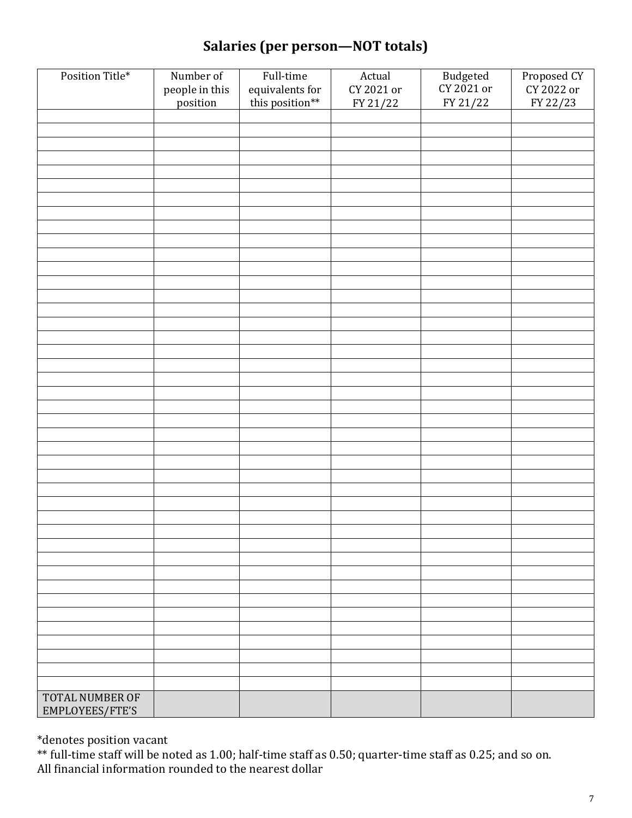## **Salaries (per person—NOT totals)**

| Position Title*                    | Number of                  | Full-time                          | Actual                 | Budgeted<br>CY 2021 or | Proposed CY<br>CY 2022 or |
|------------------------------------|----------------------------|------------------------------------|------------------------|------------------------|---------------------------|
|                                    | people in this<br>position | equivalents for<br>this position** | CY 2021 or<br>FY 21/22 | FY 21/22               | FY 22/23                  |
|                                    |                            |                                    |                        |                        |                           |
|                                    |                            |                                    |                        |                        |                           |
|                                    |                            |                                    |                        |                        |                           |
|                                    |                            |                                    |                        |                        |                           |
|                                    |                            |                                    |                        |                        |                           |
|                                    |                            |                                    |                        |                        |                           |
|                                    |                            |                                    |                        |                        |                           |
|                                    |                            |                                    |                        |                        |                           |
|                                    |                            |                                    |                        |                        |                           |
|                                    |                            |                                    |                        |                        |                           |
|                                    |                            |                                    |                        |                        |                           |
|                                    |                            |                                    |                        |                        |                           |
|                                    |                            |                                    |                        |                        |                           |
|                                    |                            |                                    |                        |                        |                           |
|                                    |                            |                                    |                        |                        |                           |
|                                    |                            |                                    |                        |                        |                           |
|                                    |                            |                                    |                        |                        |                           |
|                                    |                            |                                    |                        |                        |                           |
|                                    |                            |                                    |                        |                        |                           |
|                                    |                            |                                    |                        |                        |                           |
|                                    |                            |                                    |                        |                        |                           |
|                                    |                            |                                    |                        |                        |                           |
|                                    |                            |                                    |                        |                        |                           |
|                                    |                            |                                    |                        |                        |                           |
|                                    |                            |                                    |                        |                        |                           |
|                                    |                            |                                    |                        |                        |                           |
|                                    |                            |                                    |                        |                        |                           |
|                                    |                            |                                    |                        |                        |                           |
|                                    |                            |                                    |                        |                        |                           |
|                                    |                            |                                    |                        |                        |                           |
|                                    |                            |                                    |                        |                        |                           |
|                                    |                            |                                    |                        |                        |                           |
|                                    |                            |                                    |                        |                        |                           |
|                                    |                            |                                    |                        |                        |                           |
|                                    |                            |                                    |                        |                        |                           |
|                                    |                            |                                    |                        |                        |                           |
|                                    |                            |                                    |                        |                        |                           |
|                                    |                            |                                    |                        |                        |                           |
|                                    |                            |                                    |                        |                        |                           |
|                                    |                            |                                    |                        |                        |                           |
| TOTAL NUMBER OF<br>EMPLOYEES/FTE'S |                            |                                    |                        |                        |                           |

\*denotes position vacant

\*\* full-time staff will be noted as 1.00; half-time staff as 0.50; quarter-time staff as 0.25; and so on. All financial information rounded to the nearest dollar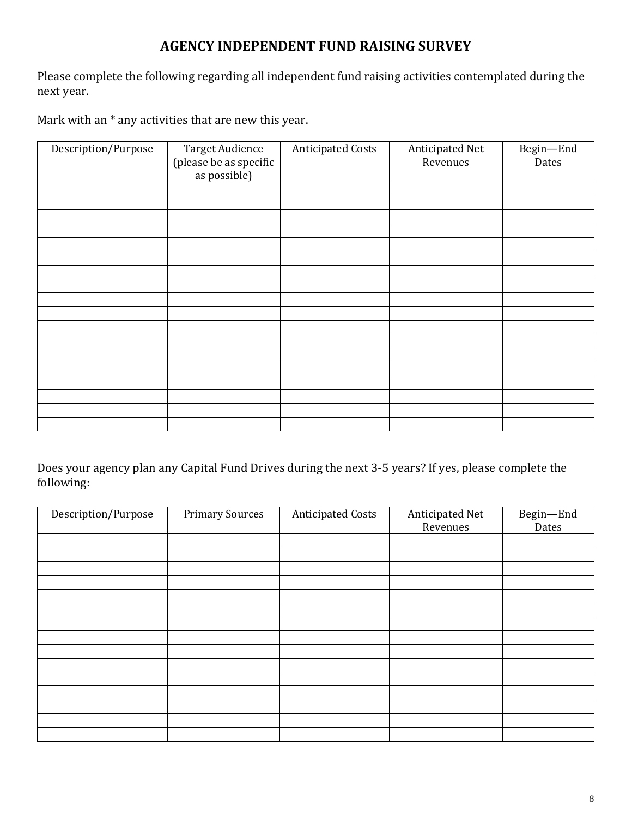#### **AGENCY INDEPENDENT FUND RAISING SURVEY**

Please complete the following regarding all independent fund raising activities contemplated during the next year.

Mark with an \* any activities that are new this year.

| Description/Purpose | <b>Target Audience</b><br>(please be as specific<br>as possible) | <b>Anticipated Costs</b> | Anticipated Net<br>Revenues | Begin-End<br>Dates |
|---------------------|------------------------------------------------------------------|--------------------------|-----------------------------|--------------------|
|                     |                                                                  |                          |                             |                    |
|                     |                                                                  |                          |                             |                    |
|                     |                                                                  |                          |                             |                    |
|                     |                                                                  |                          |                             |                    |
|                     |                                                                  |                          |                             |                    |
|                     |                                                                  |                          |                             |                    |
|                     |                                                                  |                          |                             |                    |
|                     |                                                                  |                          |                             |                    |
|                     |                                                                  |                          |                             |                    |
|                     |                                                                  |                          |                             |                    |
|                     |                                                                  |                          |                             |                    |
|                     |                                                                  |                          |                             |                    |
|                     |                                                                  |                          |                             |                    |
|                     |                                                                  |                          |                             |                    |
|                     |                                                                  |                          |                             |                    |
|                     |                                                                  |                          |                             |                    |
|                     |                                                                  |                          |                             |                    |
|                     |                                                                  |                          |                             |                    |

Does your agency plan any Capital Fund Drives during the next 3-5 years? If yes, please complete the following:

| Description/Purpose | <b>Primary Sources</b> | <b>Anticipated Costs</b> | Anticipated Net<br>Revenues | Begin-End<br>Dates |
|---------------------|------------------------|--------------------------|-----------------------------|--------------------|
|                     |                        |                          |                             |                    |
|                     |                        |                          |                             |                    |
|                     |                        |                          |                             |                    |
|                     |                        |                          |                             |                    |
|                     |                        |                          |                             |                    |
|                     |                        |                          |                             |                    |
|                     |                        |                          |                             |                    |
|                     |                        |                          |                             |                    |
|                     |                        |                          |                             |                    |
|                     |                        |                          |                             |                    |
|                     |                        |                          |                             |                    |
|                     |                        |                          |                             |                    |
|                     |                        |                          |                             |                    |
|                     |                        |                          |                             |                    |
|                     |                        |                          |                             |                    |